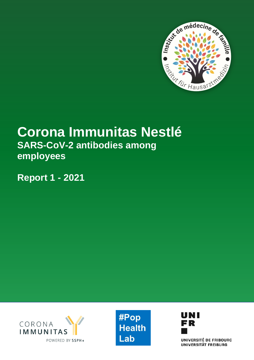

# **Corona Immunitas Nestlé SARS-CoV-2 antibodies among employees**

**Report 1 - 2021**







UNIVERSITÉ DE FRIBOURG **UNIVERSITÄT FREIBURG**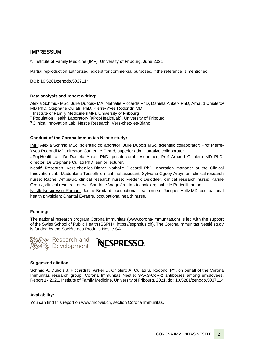### **IMPRESSUM**

© Institute of Family Medicine (IMF), University of Fribourg, June 2021

Partial reproduction authorized, except for commercial purposes, if the reference is mentioned.

**DOI:** 10.5281/zenodo.5037114

### **Data analysis and report writing:**

Alexia Schmid<sup>1</sup> MSc, Julie Dubois<sup>1</sup> MA, Nathalie Piccardi<sup>3</sup> PhD, Daniela Anker<sup>2</sup> PhD, Arnaud Chiolero<sup>2</sup> MD PhD, Stéphane Cullati<sup>2</sup> PhD, Pierre-Yves Rodondi<sup>1</sup> MD.

1 Institute of Family Medicine (IMF), University of Fribourg

<sup>2</sup> Population Health Laboratory (#PopHealthLab), University of Fribourg

<sup>3</sup>Clinical Innovation Lab, Nestlé Research, Vers-chez-les-Blanc

### **Conduct of the Corona Immunitas Nestlé study:**

IMF: Alexia Schmid MSc, scientific collaborator; Julie Dubois MSc, scientific collaborator; Prof Pierre-Yves Rodondi MD, director; Catherine Girard, superior administrative collaborator.

#PopHealthLab: Dr Daniela Anker PhD, postdoctoral researcher; Prof Arnaud Chiolero MD PhD, director; Dr Stéphane Cullati PhD, senior lecturer.

Nestlé Research, Vers-chez-les-Blanc: Nathalie Piccardi PhD, operation manager at the Clinical Innovation Lab; Maddalena Tasselli, clinical trial assistant; Sylviane Oguey-Araymon, clinical research nurse; Rachel Ambiaux, clinical research nurse; Frederik Delodder, clinical research nurse; Karine Groulx, clinical research nurse; Sandrine Wagnière, lab technician; Isabelle Puricelli, nurse.

Nestlé Nespresso, Romont: Janine Brodard, occupational health nurse; Jacques Holtz MD, occupational health physician; Chantal Evraere, occupational health nurse.

#### **Funding:**

The national research program Corona Immunitas [\(www.corona-immunitas.ch\)](http://www.corona-immunitas.ch/) is led with the support of the Swiss School of Public Health (SSPH+; [https://ssphplus.ch\)](https://ssphplus.ch/). The Corona Immunitas Nestlé study is funded by the Société des Produits Nestlé SA.





#### **Suggested citation:**

Schmid A, Dubois J, Piccardi N, Anker D, Chiolero A, Cullati S, Rodondi PY, on behalf of the Corona Immunitas research group. Corona Immunitas Nestlé: SARS-CoV-2 antibodies among employees, Report 1 - 2021, Institute of Family Medicine, University of Fribourg, 2021. doi: 10.5281/zenodo.5037114

#### **Availability:**

You can find this report on www.fricovid.ch, section Corona Immunitas.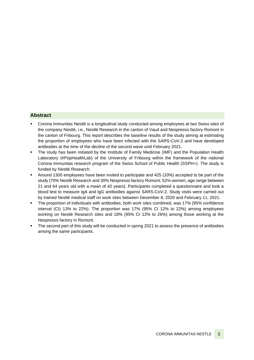### **Abstract**

- Corona Immunitas Nestlé is a longitudinal study conducted among employees at two Swiss sites of the company Nestlé, i.e., Nestlé Research in the canton of Vaud and Nespresso factory Romont in the canton of Fribourg. This report describes the baseline results of the study aiming at estimating the proportion of employees who have been infected with the SARS-CoV-2 and have developed antibodies at the time of the decline of the second wave until February 2021.
- The study has been initiated by the Institute of Family Medicine (IMF) and the Population Health Laboratory (#PopHealthLab) of the University of Fribourg within the framework of the national Corona Immunitas research program of the Swiss School of Public Health (SSPH+). The study is funded by Nestlé Research.
- Around 1300 employees have been invited to participate and 425 (33%) accepted to be part of the study (70% Nestlé Research and 30% Nespresso factory Romont; 52% women; age range between 21 and 64 years old with a mean of 42 years). Participants completed a questionnaire and took a blood test to measure IgA and IgG antibodies against SARS-CoV-2. Study visits were carried out by trained Nestlé medical staff on work sites between December 8, 2020 and February 11, 2021.
- The proportion of individuals with antibodies, both work sites combined, was 17% (95% confidence interval (CI) 13% to 22%). The proportion was 17% (95% CI 12% to 22%) among employees working on Nestlé Research sites and 18% (95% CI 12% to 26%) among those working at the Nespresso factory in Romont.
- The second part of this study will be conducted in spring 2021 to assess the presence of antibodies among the same participants.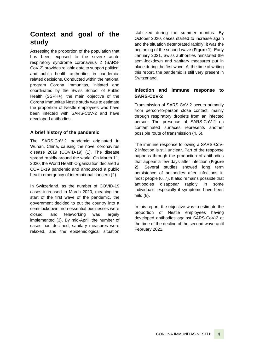# **Context and goal of the study**

Assessing the proportion of the population that has been exposed to the severe acute respiratory syndrome coronavirus 2 (SARS-CoV-2) provides reliable data to support political and public health authorities in pandemicrelated decisions. Conducted within the national program Corona Immunitas, initiated and coordinated by the Swiss School of Public Health (SSPH+), the main objective of the Corona Immunitas Nestlé study was to estimate the proportion of Nestlé employees who have been infected with SARS-CoV-2 and have developed antibodies.

# **A brief history of the pandemic**

The SARS-CoV-2 pandemic originated in Wuhan, China, causing the novel coronavirus disease 2019 (COVID-19) (1). The disease spread rapidly around the world. On March 11, 2020, the World Health Organization declared a COVID-19 pandemic and announced a public health emergency of international concern (2).

In Switzerland, as the number of COVID-19 cases increased in March 2020, meaning the start of the first wave of the pandemic, the government decided to put the country into a semi-lockdown; non-essential businesses were closed, and teleworking was largely implemented (3). By mid-April, the number of cases had declined, sanitary measures were relaxed, and the epidemiological situation

stabilized during the summer months. By October 2020, cases started to increase again and the situation deteriorated rapidly; it was the beginning of the second wave (**Figure 1**). Early January 2021, Swiss authorities reinstated the semi-lockdown and sanitary measures put in place during the first wave. At the time of writing this report, the pandemic is still very present in Switzerland.

## **Infection and immune response to SARS-CoV-2**

Transmission of SARS-CoV-2 occurs primarily from person-to-person close contact, mainly through respiratory droplets from an infected person. The presence of SARS-CoV-2 on contaminated surfaces represents another possible route of transmission (4, 5).

The immune response following a SARS-CoV-2 infection is still unclear. Part of the response happens through the production of antibodies that appear a few days after infection (**Figure 2**). Several studies showed long term persistence of antibodies after infections in most people (6, 7). It also remains possible that antibodies disappear rapidly in some individuals, especially if symptoms have been mild (8).

In this report, the objective was to estimate the proportion of Nestlé employees having developed antibodies against SARS-CoV-2 at the time of the decline of the second wave until February 2021.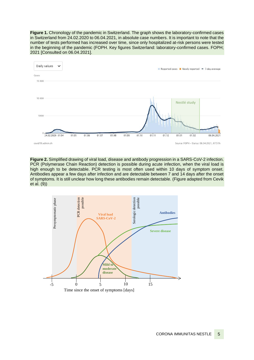**Figure 1.** Chronology of the pandemic in Switzerland. The graph shows the laboratory-confirmed cases in Switzerland from 24.02.2020 to 06.04.2021, in absolute case numbers. It is important to note that the number of tests performed has increased over time, since only hospitalized at-risk persons were tested in the beginning of the pandemic (FOPH. Key figures Switzerland: laboratory-confirmed cases. FOPH; 2021 [Consulted on 06.04.2021].



**Figure 2.** Simplified drawing of viral load, disease and antibody progression in a SARS-CoV-2 infection. PCR (Polymerase Chain Reaction) detection is possible during acute infection, when the viral load is high enough to be detectable. PCR testing is most often used within 10 days of symptom onset. Antibodies appear a few days after infection and are detectable between 7 and 14 days after the onset of symptoms*.* It is still unclear how long these antibodies remain detectable. (Figure adapted from Cevik et al. (9))

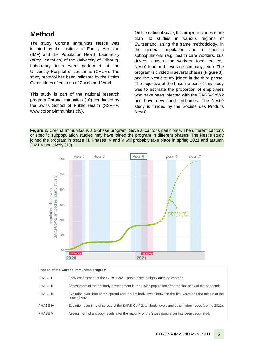# **Method**

The study Corona Immunitas Nestlé was initiated by the Institute of Family Medicine (IMF) and the Population Health Laboratory (#PopHealthLab) of the University of Fribourg. Laboratory tests were performed at the University Hospital of Lausanne (CHUV). The study protocol has been validated by the Ethics Committees of cantons of Zurich and Vaud.

This study is part of the national research program Corona Immunitas (10) conducted by the Swiss School of Public Health (SSPH+, [www.corona-immunitas.ch/\)](http://www.corona-immunitas.ch/).

On the national scale, this project includes more than 40 studies in various regions of Switzerland, using the same methodology, in the general population and in specific subpopulations (e.g. health care workers, bus drivers, construction workers, food retailers, Nestlé food and beverage company, etc.). The program is divided in several phases (**Figure 3**), and the Nestlé study joined in the third phase. The objective of the baseline part of this study was to estimate the proportion of employees who have been infected with the SARS-CoV-2 and have developed antibodies. The Nestlé study is funded by the Société des Produits Nestlé.

**Figure 3**. Corona Immunitas is a 5-phase program. Several cantons participate. The different cantons or specific subpopulation studies may have joined the program in different phases. The Nestlé study joined the program in phase III. Phases IV and V will probably take place in spring 2021 and autumn 2021 respectively (10).



| Phases of the Corona Immunitas program |                                                                                                                        |  |  |
|----------------------------------------|------------------------------------------------------------------------------------------------------------------------|--|--|
| PHASE I                                | Early assessment of the SARS-CoV-2 prevalence in highly affected cantons.                                              |  |  |
| PHASE II                               | Assessment of the antibody development in the Swiss population after the first peak of the pandemic.                   |  |  |
| PHASE III                              | Evolution over time of the spread and the antibody levels between the first wave and the middle of the<br>second wave. |  |  |
| <b>PHASE IV</b>                        | Evolution over time of spread of the SARS-CoV-2, antibody levels and vaccination needs (spring 2021).                  |  |  |
| PHASE V                                | Assessment of antibody levels after the majority of the Swiss population has been vaccinated.                          |  |  |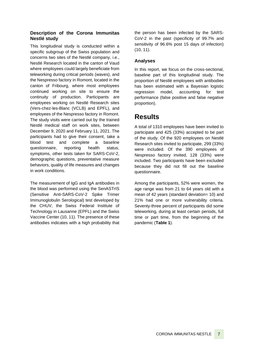### **Description of the Corona Immunitas Nestlé study**

This longitudinal study is conducted within a specific subgroup of the Swiss population and concerns two sites of the Nestlé company, i.e., Nestlé Research located in the canton of Vaud where employees could largely beneficiate from teleworking during critical periods (waves), and the Nespresso factory in Romont, located in the canton of Fribourg, where most employees continued working on site to ensure the continuity of production. Participants are employees working on Nestlé Research sites (Vers-chez-les-Blanc (VCLB) and EPFL), and employees of the Nespresso factory in Romont. The study visits were carried out by the trained Nestlé medical staff on work sites, between December 9, 2020 and February 11, 2021. The participants had to give their consent, take a blood test and complete a baseline questionnaire, reporting health status, symptoms, other tests taken for SARS-CoV-2, demographic questions, preventative measure behaviors, quality of life measures and changes in work conditions.

The measurement of IgG and IgA antibodies in the blood was performed using the SenASTrIS (Sensitive Anti-SARS-CoV-2 Spike Trimer Immunoglobulin Serological) test developed by the CHUV, the Swiss Federal Institute of Technology in Lausanne (EPFL) and the Swiss Vaccine Center (10, 11). The presence of these antibodies indicates with a high probability that the person has been infected by the SARS-CoV-2 in the past (specificity of 99.7% and sensitivity of 96.6% post 15 days of infection) (10, 11).

### **Analyses**

In this report, we focus on the cross-sectional, baseline part of this longitudinal study. The proportion of Nestlé employees with antibodies has been estimated with a Bayesian logistic regression model, accounting for test performance (false positive and false negative proportion).

# **Results**

A total of 1310 employees have been invited to participate and 425 (33%) accepted to be part of the study. Of the 920 employees on Nestlé Research sites invited to participate, 299 (33%) were included. Of the 390 employees of Nespresso factory invited, 128 (33%) were included. Two participants have been excluded because they did not fill out the baseline questionnaire.

Among the participants, 52% were women, the age range was from 21 to 64 years old with a mean of 42 years (standard deviation= 10) and 21% had one or more vulnerability criteria. Seventy-three percent of participants did some teleworking, during at least certain periods, full time or part time, from the beginning of the pandemic (**Table 1**).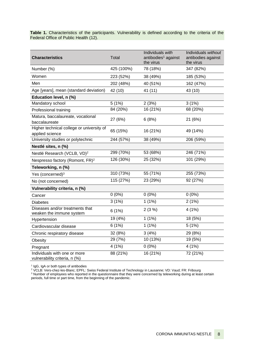Table 1. Characteristics of the participants. Vulnerability is defined according to the criteria of the Federal Office of Public Health (12).

| <b>Characteristics</b>                                        | Total      | Individuals with<br>antibodies <sup>1</sup> against<br>the virus | Individuals without<br>antibodies against<br>the virus |
|---------------------------------------------------------------|------------|------------------------------------------------------------------|--------------------------------------------------------|
| Number (%)                                                    | 425 (100%) | 78 (18%)                                                         | 347 (82%)                                              |
| Women                                                         | 223 (52%)  | 38 (49%)                                                         | 185 (53%)                                              |
| Men                                                           | 202 (48%)  | 40 (51%)                                                         | 162 (47%)                                              |
| Age [years], mean (standard deviation)                        | 42 (10)    | 41 (11)                                                          | 43 (10)                                                |
| Education level, n (%)                                        |            |                                                                  |                                                        |
| Mandatory school                                              | 5(1%)      | 2(3%)                                                            | 3(1%)                                                  |
| Professional training                                         | 84 (20%)   | 16 (21%)                                                         | 68 (20%)                                               |
| Matura, baccalaureate, vocational<br>baccalaureate            | 27 (6%)    | 6(8%)                                                            | 21 (6%)                                                |
| Higher technical college or university of<br>applied science  | 65 (15%)   | 16 (21%)                                                         | 49 (14%)                                               |
| University studies or polytechnic                             | 244 (57%)  | 38 (49%)                                                         | 206 (59%)                                              |
| Nestlé sites, n (%)                                           |            |                                                                  |                                                        |
| Nestlé Research (VCLB, VD) <sup>2</sup>                       | 299 (70%)  | 53 (68%)                                                         | 246 (71%)                                              |
| Nespresso factory (Romont, FR) <sup>2</sup>                   | 126 (30%)  | 25 (32%)                                                         | 101 (29%)                                              |
| Teleworking, n (%)                                            |            |                                                                  |                                                        |
| Yes (concerned) <sup>3</sup>                                  | 310 (73%)  | 55 (71%)                                                         | 255 (73%)                                              |
| No (not concerned)                                            | 115 (27%)  | 23 (29%)                                                         | 92 (27%)                                               |
| Vulnerability criteria, n (%)                                 |            |                                                                  |                                                        |
| Cancer                                                        | $0(0\%)$   | $0(0\%)$                                                         | $0(0\%)$                                               |
| <b>Diabetes</b>                                               | 3(1%)      | 1(1%)                                                            | 2(1%)                                                  |
| Diseases and/or treatments that<br>weaken the immune system   | 6(1%)      | 2(3%)                                                            | 4(1%)                                                  |
| Hypertension                                                  | 19 (4%)    | 1(1%)                                                            | 18 (5%)                                                |
| Cardiovascular disease                                        | 6(1%)      | 1(1%)                                                            | 5(1%)                                                  |
| Chronic respiratory disease                                   | 32 (8%)    | 3(4%)                                                            | 29 (8%)                                                |
| Obesity                                                       | 29 (7%)    | 10 (13%)                                                         | 19 (5%)                                                |
| Pregnant                                                      | 4(1%)      | $0(0\%)$                                                         | 4(1%)                                                  |
| Individuals with one or more<br>vulnerability criteria, n (%) | 88 (21%)   | 16 (21%)                                                         | 72 (21%)                                               |

<sup>1</sup> IgG, IgA or both types of antibodies

<sup>2</sup> VCLB: Vers-chez-les-Blanc; EPFL: Swiss Federal Institute of Technology in Lausanne; VD: Vaud; FR: Fribourg

 $^3$  Number of employees who reported in the questionnaire that they were concerned by teleworking during at least certain periods, full time or part time, from the beginning of the pandemic.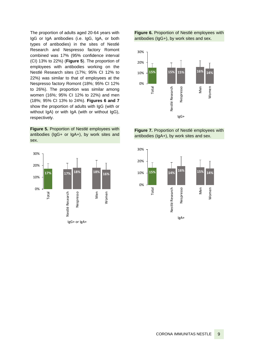The proportion of adults aged 20-64 years with IgG or IgA antibodies (i.e. IgG, IgA, or both types of antibodies) in the sites of Nestlé Research and Nespresso factory Romont combined was 17% (95% confidence interval (CI) 13% to 22%) (**Figure 5**). The proportion of employees with antibodies working on the Nestlé Research sites (17%; 95% CI 12% to 22%) was similar to that of employees at the Nespresso factory Romont (18%; 95% CI 12% to 26%). The proportion was similar among women (16%; 95% CI 12% to 22%) and men (18%; 95% CI 13% to 24%). **Figures 6 and 7** show the proportion of adults with IgG (with or without IgA) or with IgA (with or without IgG), respectively.

**Figure 5.** Proportion of Nestlé employees with antibodies (IgG+ or IgA+), by work sites and sex.



**Figure 6.** Proportion of Nestlé employees with antibodies (IgG+), by work sites and sex.



**Figure 7.** Proportion of Nestlé employees with antibodies (IgA+), by work sites and sex.

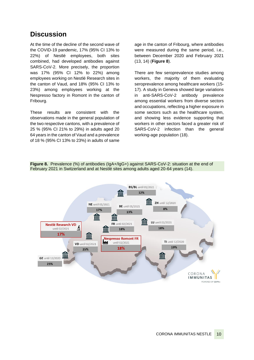# **Discussion**

At the time of the decline of the second wave of the COVID-19 pandemic, 17% (95% CI 13% to 22%) of Nestlé employees, both sites combined, had developed antibodies against SARS-CoV-2. More precisely, the proportion was 17% (95% CI 12% to 22%) among employees working on Nestlé Research sites in the canton of Vaud, and 18% (95% CI 13% to 23%) among employees working at the Nespresso factory in Romont in the canton of Fribourg.

These results are consistent with the observations made in the general population of the two respective cantons, with a prevalence of 25 % (95% CI 21% to 29%) in adults aged 20 64 years in the canton of Vaud and a prevalence of 18 % (95% CI 13% to 23%) in adults of same age in the canton of Fribourg, where antibodies were measured during the same period, i.e., between December 2020 and February 2021 (13, 14) (**Figure 8**).

There are few seroprevalence studies among workers, the majority of them evaluating seroprevalence among healthcare workers (15- 17). A study in Geneva showed large variations in anti-SARS-CoV-2 antibody prevalence among essential workers from diverse sectors and occupations, reflecting a higher exposure in some sectors such as the healthcare system, and showing less evidence supporting that workers in other sectors faced a greater risk of SARS-CoV-2 infection than the general working-age population (18).



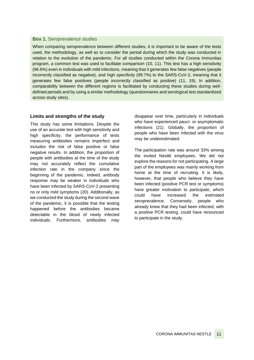#### **Box 1.** Seroprevalence studies

When comparing seroprevalence between different studies, it is important to be aware of the tests used, the methodology, as well as to consider the period during which the study was conducted in relation to the evolution of the pandemic. For all studies conducted within the Corona Immunitas program, a common test was used to facilitate comparison (10, 11). This test has a high sensitivity (96.6%) even in individuals with mild infections, meaning that it generates few false negatives (people incorrectly classified as negative), and high specificity (99.7%) to the SARS-CoV-2, meaning that it generates few false positives (people incorrectly classified as positive) (11, 19). In addition, comparability between the different regions is facilitated by conducting these studies during welldefined periods and by using a similar methodology (questionnaires and serological test standardized across study sites).

### **Limits and strengths of the study**

This study has some limitations. Despite the use of an accurate test with high sensitivity and high specificity, the performance of tests measuring antibodies remains imperfect and includes the risk of false positive or false negative results. In addition, the proportion of people with antibodies at the time of the study may not accurately reflect the cumulative infection rate in the company since the beginning of the pandemic. Indeed, antibody response may be weaker in individuals who have been infected by SARS-CoV-2 presenting no or only mild symptoms (20). Additionally, as we conducted the study during the second wave of the pandemic, it is possible that the testing happened before the antibodies became detectable in the blood of newly infected individuals. Furthermore, antibodies may

disappear over time, particularly in individuals who have experienced pauci- or asymptomatic infections (21). Globally, the proportion of people who have been infected with the virus may be underestimated.

The participation rate was around 33% among the invited Nestlé employees. We did not explore the reasons for not participating. A large part of the employees was mainly working from home at the time of recruiting. It is likely, however, that people who believe they have been infected (positive PCR test or symptoms) have greater motivation to participate, which could have increased the estimated seroprevalence. Conversely, people who already knew that they had been infected, with a positive PCR testing, could have renounced to participate in the study.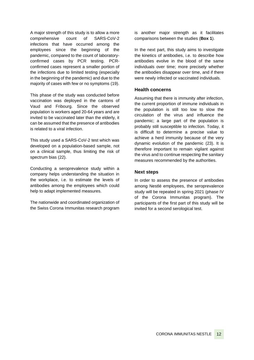A major strength of this study is to allow a more comprehensive count of SARS-CoV-2 infections that have occurred among the employees since the beginning of the pandemic, compared to the count of laboratoryconfirmed cases by PCR testing. PCRconfirmed cases represent a smaller portion of the infections due to limited testing (especially in the beginning of the pandemic) and due to the majority of cases with few or no symptoms (19).

This phase of the study was conducted before vaccination was deployed in the cantons of Vaud and Fribourg. Since the observed population is workers aged 20-64 years and are invited to be vaccinated later than the elderly, it can be assumed that the presence of antibodies is related to a viral infection.

This study used a SARS-CoV-2 test which was developed on a population-based sample, not on a clinical sample, thus limiting the risk of spectrum bias (22).

Conducting a seroprevalence study within a company helps understanding the situation in the workplace, i.e. to estimate the levels of antibodies among the employees which could help to adapt implemented measures.

The nationwide and coordinated organization of the Swiss Corona Immunitas research program

is another major strength as it facilitates comparisons between the studies (**Box 1**).

In the next part, this study aims to investigate the kinetics of antibodies, i.e. to describe how antibodies evolve in the blood of the same individuals over time; more precisely whether the antibodies disappear over time, and if there were newly infected or vaccinated individuals.

### **Health concerns**

Assuming that there is immunity after infection, the current proportion of immune individuals in the population is still too low to slow the circulation of the virus and influence the pandemic; a large part of the population is probably still susceptible to infection. Today, it is difficult to determine a precise value to achieve a herd immunity because of the very dynamic evolution of the pandemic (23). It is therefore important to remain vigilant against the virus and to continue respecting the sanitary measures recommended by the authorities.

### **Next steps**

In order to assess the presence of antibodies among Nestlé employees, the seroprevalence study will be repeated in spring 2021 (phase IV of the Corona Immunitas program). The participants of the first part of this study will be invited for a second serological test.